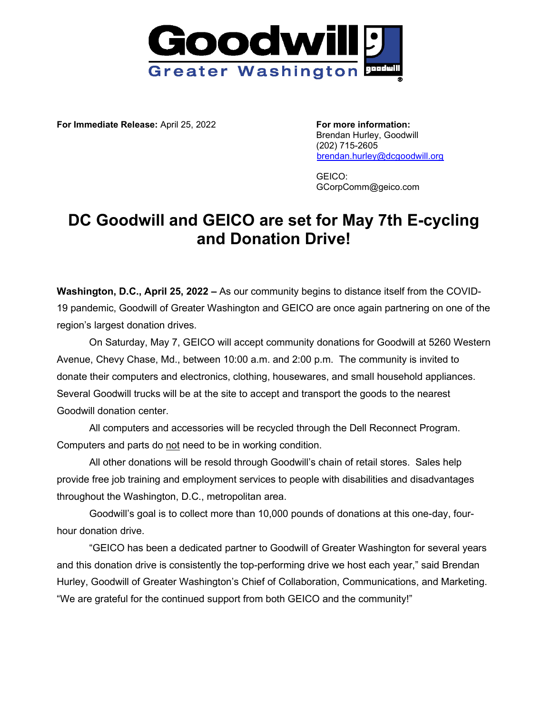

**For Immediate Release:** April 25, 2022 **For more information:**

Brendan Hurley, Goodwill (202) 715-2605 [brendan.hurley@dcgoodwill.org](mailto:brendan.hurley@dcgoodwill.org)

GEICO: GCorpComm@geico.com

## **DC Goodwill and GEICO are set for May 7th E-cycling and Donation Drive!**

**Washington, D.C., April 25, 2022 –** As our community begins to distance itself from the COVID-19 pandemic, Goodwill of Greater Washington and GEICO are once again partnering on one of the region's largest donation drives.

On Saturday, May 7, GEICO will accept community donations for Goodwill at 5260 Western Avenue, Chevy Chase, Md., between 10:00 a.m. and 2:00 p.m. The community is invited to donate their computers and electronics, clothing, housewares, and small household appliances. Several Goodwill trucks will be at the site to accept and transport the goods to the nearest Goodwill donation center.

All computers and accessories will be recycled through the Dell Reconnect Program. Computers and parts do not need to be in working condition.

All other donations will be resold through Goodwill's chain of retail stores. Sales help provide free job training and employment services to people with disabilities and disadvantages throughout the Washington, D.C., metropolitan area.

Goodwill's goal is to collect more than 10,000 pounds of donations at this one-day, fourhour donation drive.

"GEICO has been a dedicated partner to Goodwill of Greater Washington for several years and this donation drive is consistently the top-performing drive we host each year," said Brendan Hurley, Goodwill of Greater Washington's Chief of Collaboration, Communications, and Marketing. "We are grateful for the continued support from both GEICO and the community!"